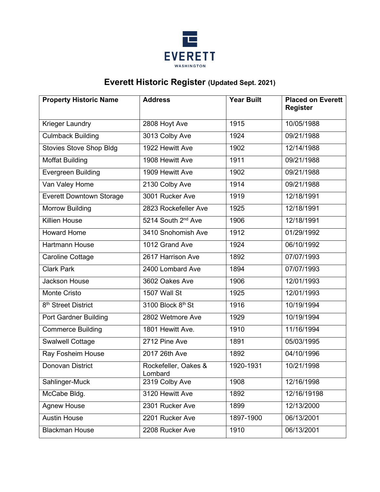

## **Everett Historic Register (Updated Sept. 2021)**

| <b>Property Historic Name</b>   | <b>Address</b>                  | <b>Year Built</b> | <b>Placed on Everett</b><br><b>Register</b> |
|---------------------------------|---------------------------------|-------------------|---------------------------------------------|
| Krieger Laundry                 | 2808 Hoyt Ave                   | 1915              | 10/05/1988                                  |
| <b>Culmback Building</b>        | 3013 Colby Ave                  | 1924              | 09/21/1988                                  |
| <b>Stovies Stove Shop Bldg</b>  | 1922 Hewitt Ave                 | 1902              | 12/14/1988                                  |
| <b>Moffat Building</b>          | 1908 Hewitt Ave                 | 1911              | 09/21/1988                                  |
| <b>Evergreen Building</b>       | 1909 Hewitt Ave                 | 1902              | 09/21/1988                                  |
| Van Valey Home                  | 2130 Colby Ave                  | 1914              | 09/21/1988                                  |
| <b>Everett Downtown Storage</b> | 3001 Rucker Ave                 | 1919              | 12/18/1991                                  |
| <b>Morrow Building</b>          | 2823 Rockefeller Ave            | 1925              | 12/18/1991                                  |
| <b>Killien House</b>            | 5214 South 2 <sup>nd</sup> Ave  | 1906              | 12/18/1991                                  |
| <b>Howard Home</b>              | 3410 Snohomish Ave              | 1912              | 01/29/1992                                  |
| Hartmann House                  | 1012 Grand Ave                  | 1924              | 06/10/1992                                  |
| Caroline Cottage                | 2617 Harrison Ave               | 1892              | 07/07/1993                                  |
| Clark Park                      | 2400 Lombard Ave                | 1894              | 07/07/1993                                  |
| Jackson House                   | 3602 Oakes Ave                  | 1906              | 12/01/1993                                  |
| <b>Monte Cristo</b>             | 1507 Wall St                    | 1925              | 12/01/1993                                  |
| 8 <sup>th</sup> Street District | 3100 Block 8th St               | 1916              | 10/19/1994                                  |
| <b>Port Gardner Building</b>    | 2802 Wetmore Ave                | 1929              | 10/19/1994                                  |
| <b>Commerce Building</b>        | 1801 Hewitt Ave.                | 1910              | 11/16/1994                                  |
| Swalwell Cottage                | 2712 Pine Ave                   | 1891              | 05/03/1995                                  |
| Ray Fosheim House               | 2017 26th Ave                   | 1892              | 04/10/1996                                  |
| <b>Donovan District</b>         | Rockefeller, Oakes &<br>Lombard | 1920-1931         | 10/21/1998                                  |
| Sahlinger-Muck                  | 2319 Colby Ave                  | 1908              | 12/16/1998                                  |
| McCabe Bldg.                    | 3120 Hewitt Ave                 | 1892              | 12/16/19198                                 |
| <b>Agnew House</b>              | 2301 Rucker Ave                 | 1899              | 12/13/2000                                  |
| <b>Austin House</b>             | 2201 Rucker Ave                 | 1897-1900         | 06/13/2001                                  |
| <b>Blackman House</b>           | 2208 Rucker Ave                 | 1910              | 06/13/2001                                  |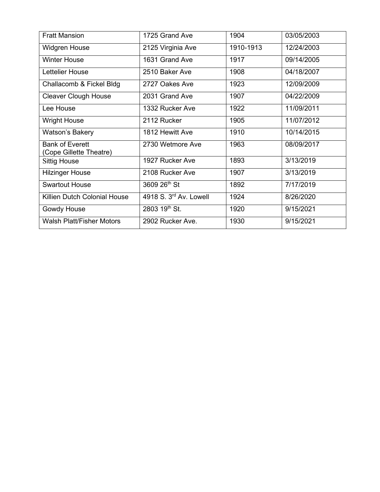| <b>Fratt Mansion</b>                              | 1725 Grand Ave         | 1904      | 03/05/2003 |
|---------------------------------------------------|------------------------|-----------|------------|
| <b>Widgren House</b>                              | 2125 Virginia Ave      | 1910-1913 | 12/24/2003 |
| <b>Winter House</b>                               | 1631 Grand Ave         | 1917      | 09/14/2005 |
| Lettelier House                                   | 2510 Baker Ave         | 1908      | 04/18/2007 |
| Challacomb & Fickel Bldg                          | 2727 Oakes Ave         | 1923      | 12/09/2009 |
| <b>Cleaver Clough House</b>                       | 2031 Grand Ave         | 1907      | 04/22/2009 |
| Lee House                                         | 1332 Rucker Ave        | 1922      | 11/09/2011 |
| <b>Wright House</b>                               | 2112 Rucker            | 1905      | 11/07/2012 |
| Watson's Bakery                                   | 1812 Hewitt Ave        | 1910      | 10/14/2015 |
| <b>Bank of Everett</b><br>(Cope Gillette Theatre) | 2730 Wetmore Ave       | 1963      | 08/09/2017 |
| <b>Sittig House</b>                               | 1927 Rucker Ave        | 1893      | 3/13/2019  |
| <b>Hilzinger House</b>                            | 2108 Rucker Ave        | 1907      | 3/13/2019  |
| <b>Swartout House</b>                             | 3609 26th St           | 1892      | 7/17/2019  |
| Killien Dutch Colonial House                      | 4918 S. 3rd Av. Lowell | 1924      | 8/26/2020  |
| Gowdy House                                       | 2803 19th St.          | 1920      | 9/15/2021  |
| <b>Walsh Platt/Fisher Motors</b>                  | 2902 Rucker Ave.       | 1930      | 9/15/2021  |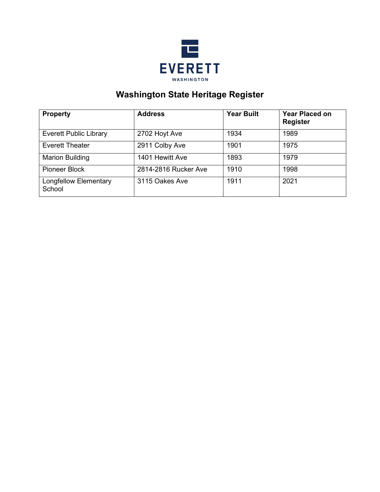

## **Washington State Heritage Register**

| <b>Property</b>                        | <b>Address</b>       | <b>Year Built</b> | <b>Year Placed on</b><br><b>Register</b> |
|----------------------------------------|----------------------|-------------------|------------------------------------------|
| <b>Everett Public Library</b>          | 2702 Hoyt Ave        | 1934              | 1989                                     |
| <b>Everett Theater</b>                 | 2911 Colby Ave       | 1901              | 1975                                     |
| <b>Marion Building</b>                 | 1401 Hewitt Ave      | 1893              | 1979                                     |
| Pioneer Block                          | 2814-2816 Rucker Ave | 1910              | 1998                                     |
| <b>Longfellow Elementary</b><br>School | 3115 Oakes Ave       | 1911              | 2021                                     |